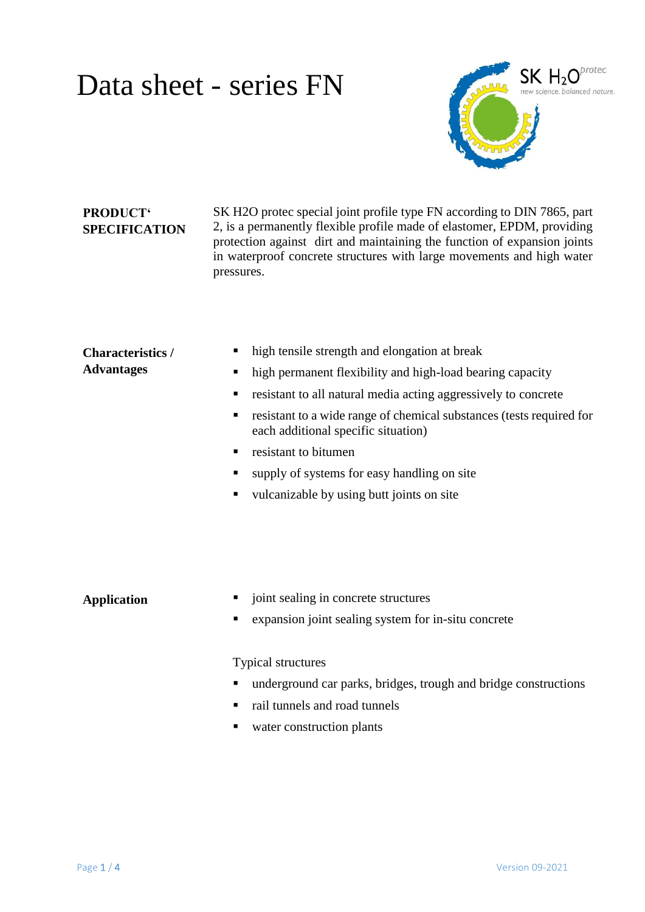### Data sheet - series FN



### **PRODUCT' SPECIFICATION**

SK H2O protec special joint profile type FN according to DIN 7865, part 2, is a permanently flexible profile made of elastomer, EPDM, providing protection against dirt and maintaining the function of expansion joints in waterproof concrete structures with large movements and high water pressures.

#### **Characteristics / Advantages**

- high tensile strength and elongation at break
- high permanent flexibility and high-load bearing capacity
- resistant to all natural media acting aggressively to concrete
- resistant to a wide range of chemical substances (tests required for each additional specific situation)
- **Figure 1.5** resistant to bitumen
- supply of systems for easy handling on site
- vulcanizable by using butt joints on site

- **Application**  $\blacksquare$  joint sealing in concrete structures
	- expansion joint sealing system for in-situ concrete

#### Typical structures

- underground car parks, bridges, trough and bridge constructions
- rail tunnels and road tunnels
- water construction plants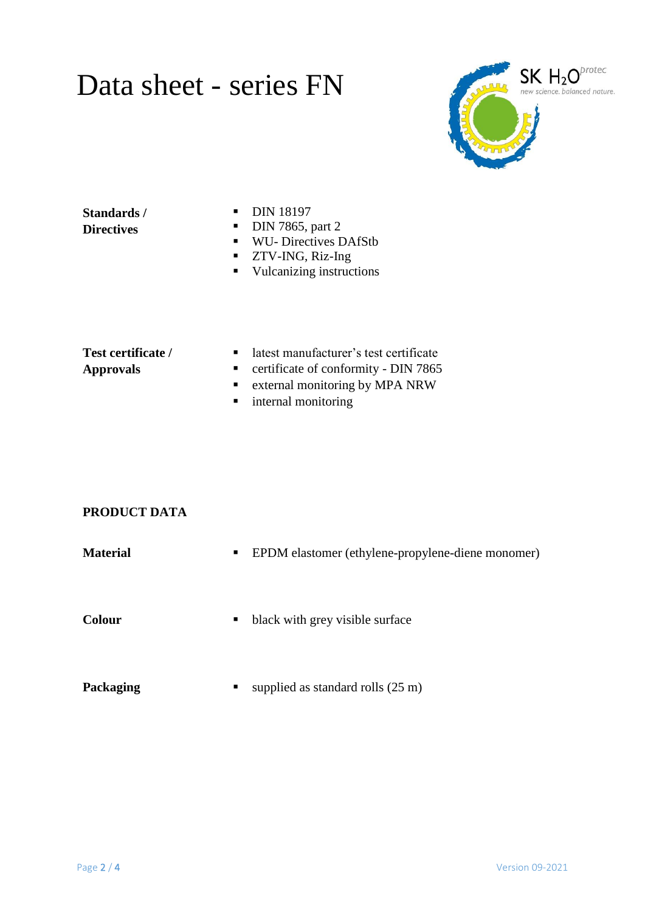## Data sheet - series FN



#### **Standards / Directives**

- **DIN 18197**
- $\nightharpoonup$  DIN 7865, part 2
- WU- Directives DAfStb
- **TECT 25 TWO 25 TWO 25 TWO 25 TWO 25 TWO 25 TWO 25 TWO 25 TWO 25 TWO 25 TWO 25 TWO 25 TWO 25 TWO 25 TWO 25 TWO 25 TWO 25 TWO 25 TWO 25 TWO 25 TWO 25 TWO 25 TWO 25 TWO 25 TWO 25 TWO 25 TWO 25 TWO 25 TWO 26 TWO 26 TWO 26 TWO**
- **vulcanizing instructions**

#### **Test certificate / Approvals**

- latest manufacturer's test certificate
- **•** certificate of conformity DIN 7865
- **External monitoring by MPA NRW**
- **n** internal monitoring

### **PRODUCT DATA**

| <b>Material</b> | EPDM elastomer (ethylene-propylene-diene monomer)<br>п |
|-----------------|--------------------------------------------------------|
| <b>Colour</b>   | black with grey visible surface<br>$\blacksquare$      |
| Packaging       | supplied as standard rolls $(25 \text{ m})$<br>п       |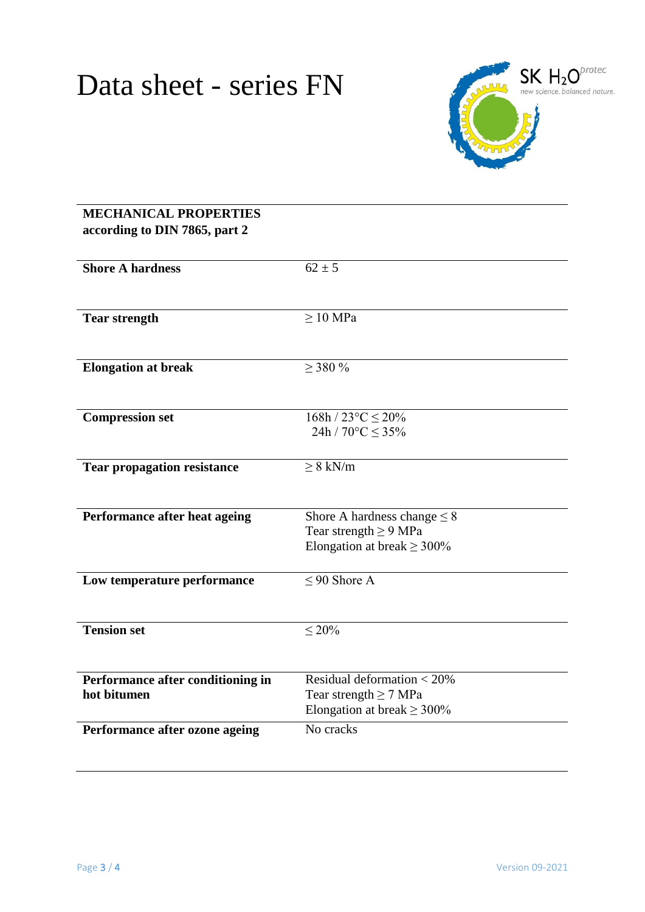

### **MECHANICAL PROPERTIES according to DIN 7865, part 2 Shore A hardness** 62  $\pm$  5 **Tear strength** ≥ 10 MPa **Elongation at break** ≥ 380 % **Compression set**  $168h / 23^{\circ}C \le 20\%$ 24h /  $70^{\circ}$ C  $\leq$  35% **Tear propagation resistance** ≥ 8 kN/m **Performance after heat ageing** Shore A hardness change  $\leq 8$ Tear strength  $\geq$  9 MPa Elongation at break  $\geq 300\%$ **Low temperature performance**  $\leq 90$  Shore A **Tension set**  $\leq 20\%$ **Performance after conditioning in hot bitumen** Residual deformation < 20% Tear strength  $\geq$  7 MPa Elongation at break  $\geq 300\%$ **Performance after ozone ageing** No cracks